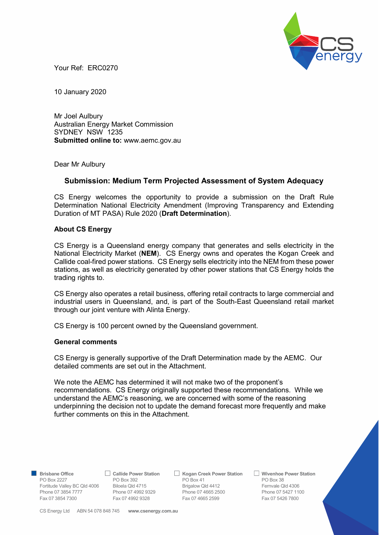

Your Ref: ERC0270

10 January 2020

Mr Joel Aulbury Australian Energy Market Commission SYDNEY NSW 1235 Submitted online to: www.aemc.gov.au

Dear Mr Aulbury

## Submission: Medium Term Projected Assessment of System Adequacy

CS Energy welcomes the opportunity to provide a submission on the Draft Rule Determination National Electricity Amendment (Improving Transparency and Extending Duration of MT PASA) Rule 2020 (Draft Determination).

## About CS Energy

CS Energy is a Queensland energy company that generates and sells electricity in the National Electricity Market (NEM). CS Energy owns and operates the Kogan Creek and Callide coal-fired power stations. CS Energy sells electricity into the NEM from these power stations, as well as electricity generated by other power stations that CS Energy holds the trading rights to.

CS Energy also operates a retail business, offering retail contracts to large commercial and industrial users in Queensland, and, is part of the South-East Queensland retail market through our joint venture with Alinta Energy.

CS Energy is 100 percent owned by the Queensland government.

### General comments

CS Energy is generally supportive of the Draft Determination made by the AEMC. Our detailed comments are set out in the Attachment.

We note the AEMC has determined it will not make two of the proponent's recommendations. CS Energy originally supported these recommendations. While we understand the AEMC's reasoning, we are concerned with some of the reasoning underpinning the decision not to update the demand forecast more frequently and make further comments on this in the Attachment.

■ Brisbane Office Callide Power Station C Kogan Creek Power Station C Wivenhoe Power Station PO Box 2227 PO Box 392 PO Box 41 PO Box 382 PO Box 41 PO Box 38 Fortitude Valley BC Qld 4006 Biloela Qld 4715 Brigalow Qld 4412 Fernvale Qld 4306 Phone 07 3854 7777 Phone 07 4992 9329 Phone 07 4665 2500 Phone 07 3854 7777 Phone 07 4992 9328 Phone 07 5427 1100 Fax 07 3854 7300 Fax 07 4992 9328 Fax 07 4665 2599 Fax 07 5426 7800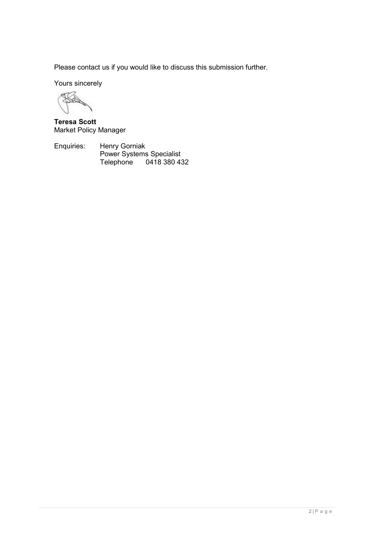Please contact us if you would like to discuss this submission further.

Yours sincerely

Kè

Teresa Scott Market Policy Manager

Enquiries: Henry Gorniak Power Systems Specialist Telephone 0418 380 432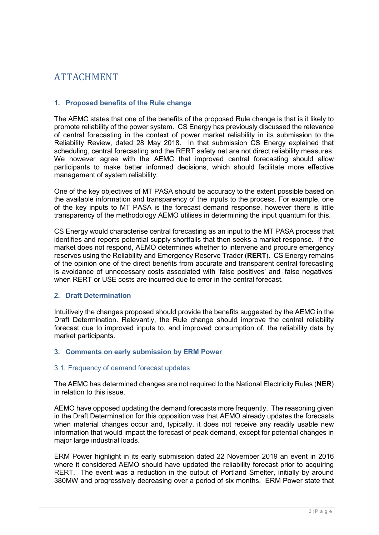# ATTACHMENT

## 1. Proposed benefits of the Rule change

The AEMC states that one of the benefits of the proposed Rule change is that is it likely to promote reliability of the power system. CS Energy has previously discussed the relevance of central forecasting in the context of power market reliability in its submission to the Reliability Review, dated 28 May 2018. In that submission CS Energy explained that scheduling, central forecasting and the RERT safety net are not direct reliability measures. We however agree with the AEMC that improved central forecasting should allow participants to make better informed decisions, which should facilitate more effective management of system reliability.

One of the key objectives of MT PASA should be accuracy to the extent possible based on the available information and transparency of the inputs to the process. For example, one of the key inputs to MT PASA is the forecast demand response, however there is little transparency of the methodology AEMO utilises in determining the input quantum for this.

CS Energy would characterise central forecasting as an input to the MT PASA process that identifies and reports potential supply shortfalls that then seeks a market response. If the market does not respond, AEMO determines whether to intervene and procure emergency reserves using the Reliability and Emergency Reserve Trader (RERT). CS Energy remains of the opinion one of the direct benefits from accurate and transparent central forecasting is avoidance of unnecessary costs associated with 'false positives' and 'false negatives' when RERT or USE costs are incurred due to error in the central forecast.

## 2. Draft Determination

Intuitively the changes proposed should provide the benefits suggested by the AEMC in the Draft Determination. Relevantly, the Rule change should improve the central reliability forecast due to improved inputs to, and improved consumption of, the reliability data by market participants.

## 3. Comments on early submission by ERM Power

### 3.1. Frequency of demand forecast updates

The AEMC has determined changes are not required to the National Electricity Rules (NER) in relation to this issue.

AEMO have opposed updating the demand forecasts more frequently. The reasoning given in the Draft Determination for this opposition was that AEMO already updates the forecasts when material changes occur and, typically, it does not receive any readily usable new information that would impact the forecast of peak demand, except for potential changes in major large industrial loads.

ERM Power highlight in its early submission dated 22 November 2019 an event in 2016 where it considered AEMO should have updated the reliability forecast prior to acquiring RERT. The event was a reduction in the output of Portland Smelter, initially by around 380MW and progressively decreasing over a period of six months. ERM Power state that